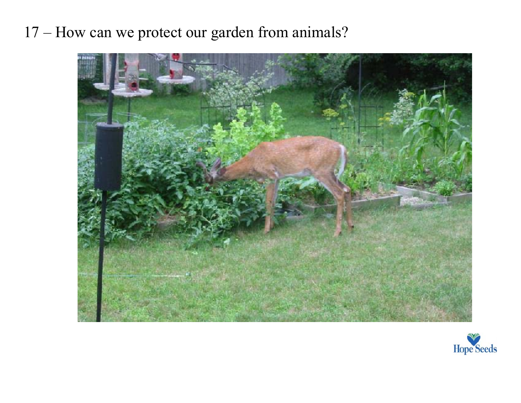17 – How can we protect our garden from animals?



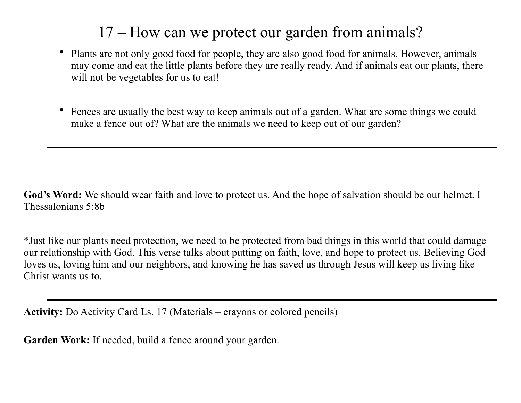## 17 – How can we protect our garden from animals?

- Plants are not only good food for people, they are also good food for animals. However, animals may come and eat the little plants before they are really ready. And if animals eat our plants, there will not be vegetables for us to eat!
- Fences are usually the best way to keep animals out of a garden. What are some things we could make a fence out of? What are the animals we need to keep out of our garden?

**God's Word:** We should wear faith and love to protect us. And the hope of salvation should be our helmet. I Thessalonians 5:8b

\*Just like our plants need protection, we need to be protected from bad things in this world that could damage our relationship with God. This verse talks about putting on faith, love, and hope to protect us. Believing God loves us, loving him and our neighbors, and knowing he has saved us through Jesus will keep us living like Christ wants us to.

**Activity:** Do Activity Card Ls. 17 (Materials – crayons or colored pencils)

**Garden Work:** If needed, build a fence around your garden.